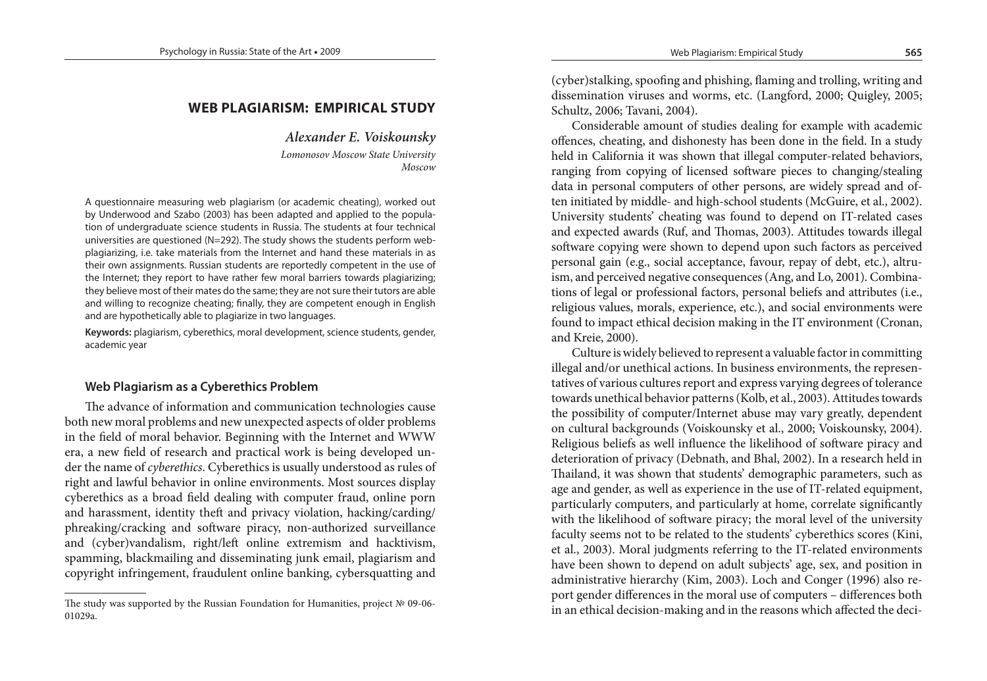# **Web Plagiarism: Empirical Study**

# *Alexander E. Voiskounsky*

*Lomonosov Moscow State University Moscow*

A questionnaire measuring web plagiarism (or academic cheating), worked out by Underwood and Szabo (2003) has been adapted and applied to the population of undergraduate science students in Russia. The students at four technical universities are questioned (N=292). The study shows the students perform webplagiarizing, i.e. take materials from the Internet and hand these materials in as their own assignments. Russian students are reportedly competent in the use of the Internet; they report to have rather few moral barriers towards plagiarizing; they believe most of their mates do the same; they are not sure their tutors are able and willing to recognize cheating; finally, they are competent enough in English and are hypothetically able to plagiarize in two languages.

**Keywords:** plagiarism, cyberethics, moral development, science students, gender, academic year

# **Web Plagiarism as a Cyberethics Problem**

The advance of information and communication technologies cause both new moral problems and new unexpected aspects of older problems in the field of moral behavior. Beginning with the Internet and WWW era, a new field of research and practical work is being developed under the name of *cyberethics*. Cyberethics is usually understood as rules of right and lawful behavior in online environments. Most sources display cyberethics as a broad field dealing with computer fraud, online porn and harassment, identity theft and privacy violation, hacking/carding/ phreaking/cracking and software piracy, non-authorized surveillance and (cyber)vandalism, right/left online extremism and hacktivism, spamming, blackmailing and disseminating junk email, plagiarism and copyright infringement, fraudulent online banking, cybersquatting and

(cyber)stalking, spoofing and phishing, flaming and trolling, writing and dissemination viruses and worms, etc. (Langford, 2000; Quigley, 2005; Schultz, 2006; Tavani, 2004).

Considerable amount of studies dealing for example with academic offences, cheating, and dishonesty has been done in the field. In a study held in California it was shown that illegal computer-related behaviors, ranging from copying of licensed software pieces to changing/stealing data in personal computers of other persons, are widely spread and often initiated by middle- and high-school students (McGuire, et al., 2002). University students' cheating was found to depend on IT-related cases and expected awards (Ruf, and Thomas, 2003). Attitudes towards illegal software copying were shown to depend upon such factors as perceived personal gain (e.g., social acceptance, favour, repay of debt, etc.), altruism, and perceived negative consequences (Ang, and Lo, 2001). Combinations of legal or professional factors, personal beliefs and attributes (i.e., religious values, morals, experience, etc.), and social environments were found to impact ethical decision making in the IT environment (Cronan, and Kreie, 2000).

Culture is widely believed to represent a valuable factor in committing illegal and/or unethical actions. In business environments, the representatives of various cultures report and express varying degrees of tolerance towards unethical behavior patterns (Kolb, et al., 2003). Attitudes towards the possibility of computer/Internet abuse may vary greatly, dependent on cultural backgrounds (Voiskounsky et al., 2000; Voiskounsky, 2004). Religious beliefs as well influence the likelihood of software piracy and deterioration of privacy (Debnath, and Bhal, 2002). In a research held in Thailand, it was shown that students' demographic parameters, such as age and gender, as well as experience in the use of IT-related equipment, particularly computers, and particularly at home, correlate significantly with the likelihood of software piracy; the moral level of the university faculty seems not to be related to the students' cyberethics scores (Kini, et al., 2003). Moral judgments referring to the IT-related environments have been shown to depend on adult subjects' age, sex, and position in administrative hierarchy (Kim, 2003). Loch and Conger (1996) also report gender differences in the moral use of computers – differences both in an ethical decision-making and in the reasons which affected the deci-

The study was supported by the Russian Foundation for Humanities, project № 09-06- 01029а.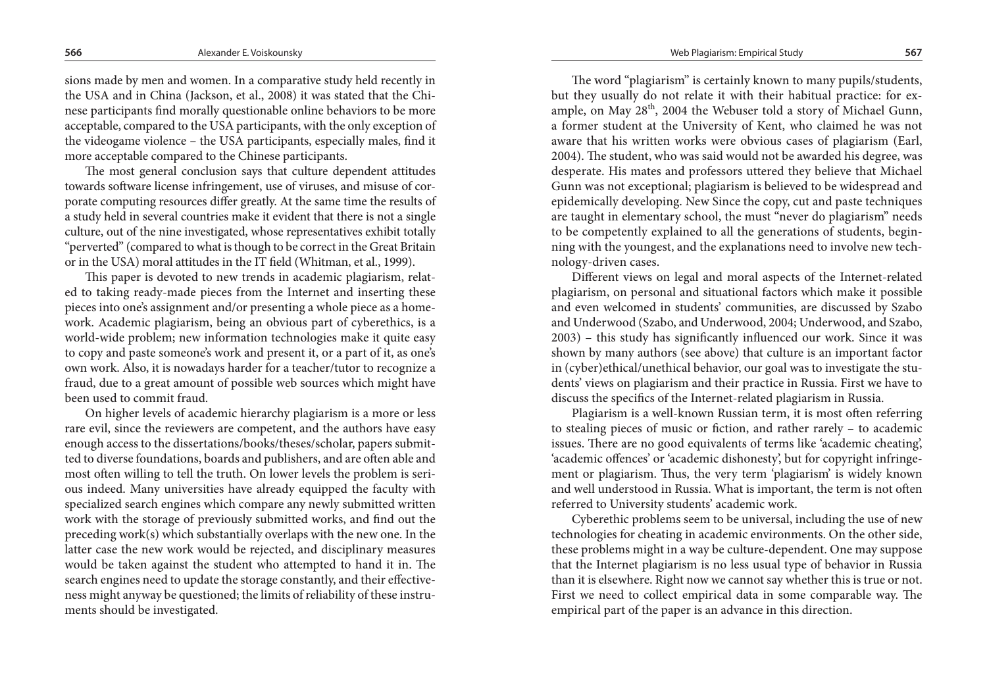sions made by men and women. In a comparative study held recently in the USA and in China (Jackson, et al., 2008) it was stated that the Chinese participants find morally questionable online behaviors to be more acceptable, compared to the USA participants, with the only exception of the videogame violence – the USA participants, especially males, find it more acceptable compared to the Chinese participants.

The most general conclusion says that culture dependent attitudes towards software license infringement, use of viruses, and misuse of corporate computing resources differ greatly. At the same time the results of a study held in several countries make it evident that there is not a single culture, out of the nine investigated, whose representatives exhibit totally "perverted" (compared to what is though to be correct in the Great Britain or in the USA) moral attitudes in the IT field (Whitman, et al., 1999).

This paper is devoted to new trends in academic plagiarism, related to taking ready-made pieces from the Internet and inserting these pieces into one's assignment and/or presenting a whole piece as a homework. Academic plagiarism, being an obvious part of cyberethics, is a world-wide problem; new information technologies make it quite easy to copy and paste someone's work and present it, or a part of it, as one's own work. Also, it is nowadays harder for a teacher/tutor to recognize a fraud, due to a great amount of possible web sources which might have been used to commit fraud.

On higher levels of academic hierarchy plagiarism is a more or less rare evil, since the reviewers are competent, and the authors have easy enough access to the dissertations/books/theses/scholar, papers submitted to diverse foundations, boards and publishers, and are often able and most often willing to tell the truth. On lower levels the problem is serious indeed. Many universities have already equipped the faculty with specialized search engines which compare any newly submitted written work with the storage of previously submitted works, and find out the preceding work(s) which substantially overlaps with the new one. In the latter case the new work would be rejected, and disciplinary measures would be taken against the student who attempted to hand it in. The search engines need to update the storage constantly, and their effectiveness might anyway be questioned; the limits of reliability of these instruments should be investigated.

The word "plagiarism" is certainly known to many pupils/students, but they usually do not relate it with their habitual practice: for example, on May 28<sup>th</sup>, 2004 the Webuser told a story of Michael Gunn, a former student at the University of Kent, who claimed he was not aware that his written works were obvious cases of plagiarism (Earl, 2004). The student, who was said would not be awarded his degree, was desperate. His mates and professors uttered they believe that Michael Gunn was not exceptional; plagiarism is believed to be widespread and epidemically developing. New Since the copy, cut and paste techniques are taught in elementary school, the must "never do plagiarism" needs to be competently explained to all the generations of students, beginning with the youngest, and the explanations need to involve new technology-driven cases.

Different views on legal and moral aspects of the Internet-related plagiarism, on personal and situational factors which make it possible and even welcomed in students' communities, are discussed by Szabo and Underwood (Szabo, and Underwood, 2004; Underwood, and Szabo, 2003) – this study has significantly influenced our work. Since it was shown by many authors (see above) that culture is an important factor in (cyber)ethical/unethical behavior, our goal was to investigate the students' views on plagiarism and their practice in Russia. First we have to discuss the specifics of the Internet-related plagiarism in Russia.

Plagiarism is a well-known Russian term, it is most often referring to stealing pieces of music or fiction, and rather rarely – to academic issues. There are no good equivalents of terms like 'academic cheating', 'academic offences' or 'academic dishonesty', but for copyright infringement or plagiarism. Thus, the very term 'plagiarism' is widely known and well understood in Russia. What is important, the term is not often referred to University students' academic work.

Cyberethic problems seem to be universal, including the use of new technologies for cheating in academic environments. On the other side, these problems might in a way be culture-dependent. One may suppose that the Internet plagiarism is no less usual type of behavior in Russia than it is elsewhere. Right now we cannot say whether this is true or not. First we need to collect empirical data in some comparable way. The empirical part of the paper is an advance in this direction.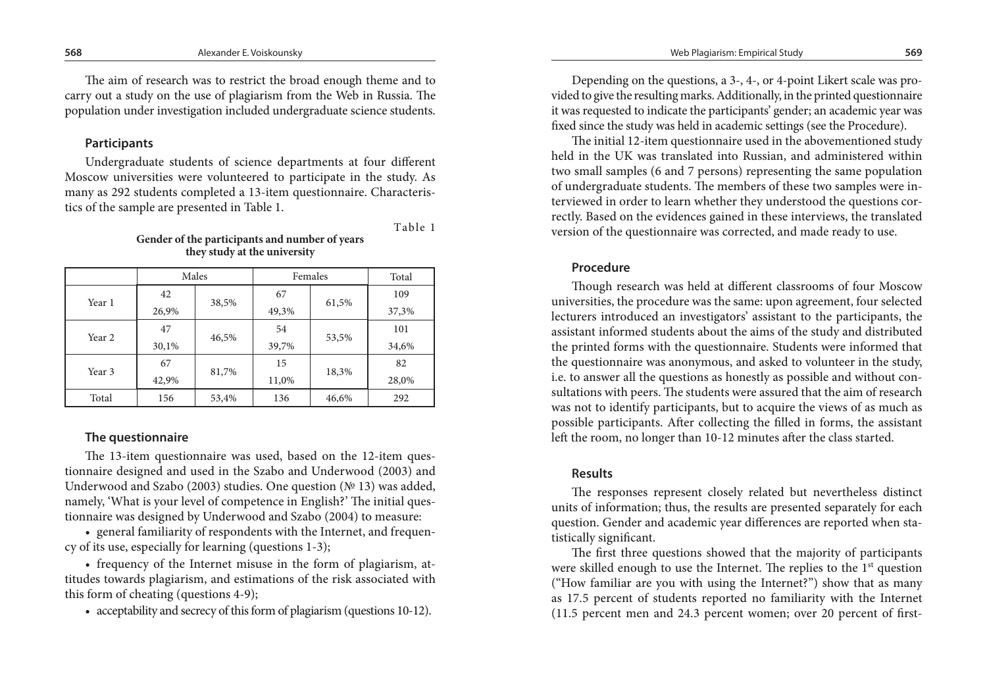The aim of research was to restrict the broad enough theme and to carry out a study on the use of plagiarism from the Web in Russia. The population under investigation included undergraduate science students.

#### **Participants**

Undergraduate students of science departments at four different Moscow universities were volunteered to participate in the study. As many as 292 students completed a 13-item questionnaire. Characteristics of the sample are presented in Table 1.

Тable 1

**Gender of the participants and number of years they study at the university**

|        | Males |       | Females |       | Total |
|--------|-------|-------|---------|-------|-------|
| Year 1 | 42    | 38,5% | 67      | 61,5% | 109   |
|        | 26,9% |       | 49,3%   |       | 37,3% |
| Year 2 | 47    | 46,5% | 54      | 53,5% | 101   |
|        | 30,1% |       | 39,7%   |       | 34,6% |
| Year 3 | 67    | 81,7% | 15      | 18,3% | 82    |
|        | 42,9% |       | 11,0%   |       | 28,0% |
| Total  | 156   | 53,4% | 136     | 46,6% | 292   |

## **The questionnaire**

The 13-item questionnaire was used, based on the 12-item questionnaire designed and used in the Szabo and Underwood (2003) and Underwood and Szabo (2003) studies. One question (№ 13) was added, namely, 'What is your level of competence in English?' The initial questionnaire was designed by Underwood and Szabo (2004) to measure:

• general familiarity of respondents with the Internet, and frequency of its use, especially for learning (questions 1-3);

• frequency of the Internet misuse in the form of plagiarism, attitudes towards plagiarism, and estimations of the risk associated with this form of cheating (questions 4-9);

• acceptability and secrecy of this form of plagiarism (questions 10-12).

Depending on the questions, a 3-, 4-, or 4-point Likert scale was provided to give the resulting marks. Additionally, in the printed questionnaire it was requested to indicate the participants' gender; an academic year was fixed since the study was held in academic settings (see the Procedure).

The initial 12-item questionnaire used in the abovementioned study held in the UK was translated into Russian, and administered within two small samples (6 and 7 persons) representing the same population of undergraduate students. The members of these two samples were interviewed in order to learn whether they understood the questions correctly. Based on the evidences gained in these interviews, the translated version of the questionnaire was corrected, and made ready to use.

### **Procedure**

Though research was held at different classrooms of four Moscow universities, the procedure was the same: upon agreement, four selected lecturers introduced an investigators' assistant to the participants, the assistant informed students about the aims of the study and distributed the printed forms with the questionnaire. Students were informed that the questionnaire was anonymous, and asked to volunteer in the study, i.e. to answer all the questions as honestly as possible and without consultations with peers. The students were assured that the aim of research was not to identify participants, but to acquire the views of as much as possible participants. After collecting the filled in forms, the assistant left the room, no longer than 10-12 minutes after the class started.

#### **Results**

The responses represent closely related but nevertheless distinct units of information; thus, the results are presented separately for each question. Gender and academic year differences are reported when statistically significant.

The first three questions showed that the majority of participants were skilled enough to use the Internet. The replies to the 1<sup>st</sup> question ("How familiar are you with using the Internet?") show that as many as 17.5 percent of students reported no familiarity with the Internet (11.5 percent men and 24.3 percent women; over 20 percent of first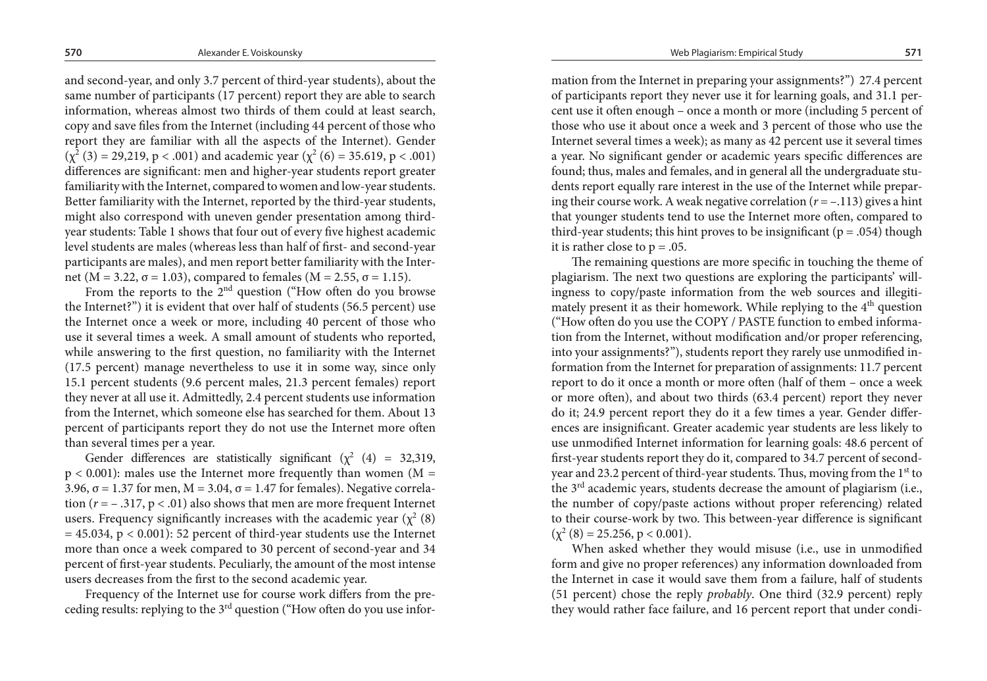and second-year, and only 3.7 percent of third-year students), about the same number of participants (17 percent) report they are able to search information, whereas almost two thirds of them could at least search, copy and save files from the Internet (including 44 percent of those who report they are familiar with all the aspects of the Internet). Gender  $(\chi^2(3) = 29,219, p < .001)$  and academic year  $(\chi^2(6) = 35.619, p < .001)$ differences are significant: men and higher-year students report greater familiarity with the Internet, compared to women and low-year students. Better familiarity with the Internet, reported by the third-year students, might also correspond with uneven gender presentation among thirdyear students: Table 1 shows that four out of every five highest academic level students are males (whereas less than half of first- and second-year participants are males), and men report better familiarity with the Internet (M = 3.22, σ = 1.03), compared to females (M = 2.55, σ = 1.15).

From the reports to the  $2<sup>nd</sup>$  question ("How often do you browse the Internet?") it is evident that over half of students (56.5 percent) use the Internet once a week or more, including 40 percent of those who use it several times a week. A small amount of students who reported, while answering to the first question, no familiarity with the Internet (17.5 percent) manage nevertheless to use it in some way, since only 15.1 percent students (9.6 percent males, 21.3 percent females) report they never at all use it. Admittedly, 2.4 percent students use information from the Internet, which someone else has searched for them. About 13 percent of participants report they do not use the Internet more often than several times per a year.

Gender differences are statistically significant  $(\chi^2 \quad (4) = 32,319,$  $p < 0.001$ ): males use the Internet more frequently than women (M = 3.96,  $\sigma$  = 1.37 for men, M = 3.04,  $\sigma$  = 1.47 for females). Negative correlation  $(r = -.317, p < .01)$  also shows that men are more frequent Internet users. Frequency significantly increases with the academic year  $(\chi^2(8))$  $= 45.034$ ,  $p < 0.001$ ): 52 percent of third-year students use the Internet more than once a week compared to 30 percent of second-year and 34 percent of first-year students. Peculiarly, the amount of the most intense users decreases from the first to the second academic year.

Frequency of the Internet use for course work differs from the preceding results: replying to the 3rd question ("How often do you use information from the Internet in preparing your assignments?") 27.4 percent of participants report they never use it for learning goals, and 31.1 percent use it often enough – once a month or more (including 5 percent of those who use it about once a week and 3 percent of those who use the Internet several times a week); as many as 42 percent use it several times a year. No significant gender or academic years specific differences are found; thus, males and females, and in general all the undergraduate students report equally rare interest in the use of the Internet while preparing their course work. A weak negative correlation  $(r = -113)$  gives a hint that younger students tend to use the Internet more often, compared to third-year students; this hint proves to be insignificant ( $p = .054$ ) though it is rather close to  $p = .05$ .

The remaining questions are more specific in touching the theme of plagiarism. The next two questions are exploring the participants' willingness to copy/paste information from the web sources and illegitimately present it as their homework. While replying to the 4<sup>th</sup> question ("How often do you use the COPY / PASTE function to embed information from the Internet, without modification and/or proper referencing, into your assignments?"), students report they rarely use unmodified information from the Internet for preparation of assignments: 11.7 percent report to do it once a month or more often (half of them – once a week or more often), and about two thirds (63.4 percent) report they never do it; 24.9 percent report they do it a few times a year. Gender differences are insignificant. Greater academic year students are less likely to use unmodified Internet information for learning goals: 48.6 percent of first-year students report they do it, compared to 34.7 percent of secondyear and 23.2 percent of third-year students. Thus, moving from the 1<sup>st</sup> to the 3<sup>rd</sup> academic years, students decrease the amount of plagiarism (i.e., the number of copy/paste actions without proper referencing) related to their course-work by two. This between-year difference is significant  $(\chi^2 (8) = 25.256, p < 0.001).$ 

When asked whether they would misuse (i.e., use in unmodified form and give no proper references) any information downloaded from the Internet in case it would save them from a failure, half of students (51 percent) chose the reply *probably*. One third (32.9 percent) reply they would rather face failure, and 16 percent report that under condi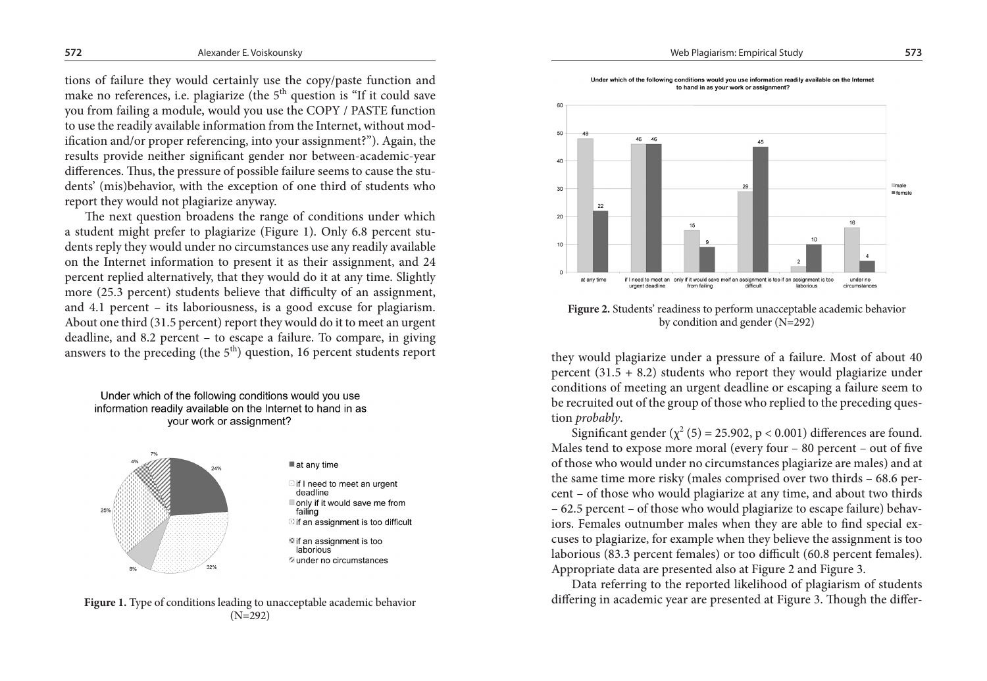tions of failure they would certainly use the copy/paste function and make no references, i.e. plagiarize (the  $5<sup>th</sup>$  question is "If it could save you from failing a module, would you use the COPY / PASTE function to use the readily available information from the Internet, without modification and/or proper referencing, into your assignment?"). Again, the results provide neither significant gender nor between-academic-year differences. Thus, the pressure of possible failure seems to cause the students' (mis)behavior, with the exception of one third of students who report they would not plagiarize anyway.

The next question broadens the range of conditions under which a student might prefer to plagiarize (Figure 1). Only 6.8 percent students reply they would under no circumstances use any readily available on the Internet information to present it as their assignment, and 24 percent replied alternatively, that they would do it at any time. Slightly more (25.3 percent) students believe that difficulty of an assignment, and 4.1 percent – its laboriousness, is a good excuse for plagiarism. About one third (31.5 percent) report they would do it to meet an urgent deadline, and 8.2 percent – to escape a failure. To compare, in giving answers to the preceding (the  $5<sup>th</sup>$ ) question, 16 percent students report





**Figure 1.** Type of conditions leading to unacceptable academic behavior (N=292)



Under which of the following conditions would you use information readily available on the Internet to hand in as your work or assignment?

**Figure 2.** Students' readiness to perform unacceptable academic behavior by condition and gender (N=292)

they would plagiarize under a pressure of a failure. Most of about 40 percent  $(31.5 + 8.2)$  students who report they would plagiarize under conditions of meeting an urgent deadline or escaping a failure seem to be recruited out of the group of those who replied to the preceding question *probably*.

Significant gender ( $\chi^2$  (5) = 25.902, p < 0.001) differences are found. Males tend to expose more moral (every four – 80 percent – out of five of those who would under no circumstances plagiarize are males) and at the same time more risky (males comprised over two thirds – 68.6 percent – of those who would plagiarize at any time, and about two thirds – 62.5 percent – of those who would plagiarize to escape failure) behaviors. Females outnumber males when they are able to find special excuses to plagiarize, for example when they believe the assignment is too laborious (83.3 percent females) or too difficult (60.8 percent females). Appropriate data are presented also at Figure 2 and Figure 3.

Data referring to the reported likelihood of plagiarism of students differing in academic year are presented at Figure 3. Though the differ-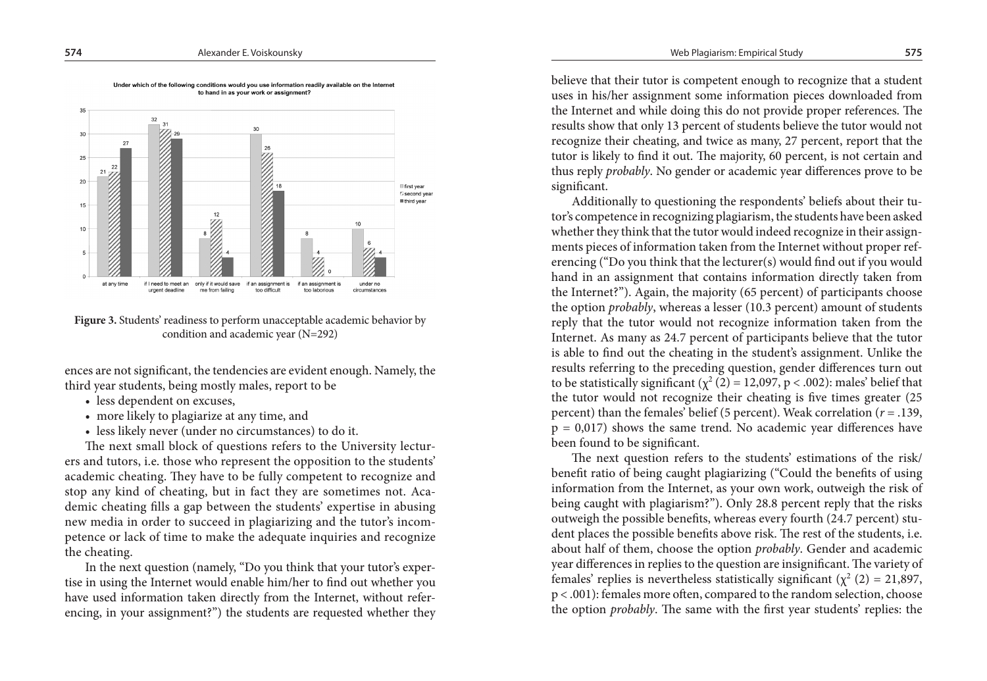

Under which of the following conditions would you use information readily available on the Internet to hand in as your work or assignment?



ences are not significant, the tendencies are evident enough. Namely, the third year students, being mostly males, report to be

- less dependent on excuses,
- more likely to plagiarize at any time, and
- less likely never (under no circumstances) to do it.

The next small block of questions refers to the University lecturers and tutors, i.e. those who represent the opposition to the students' academic cheating. They have to be fully competent to recognize and stop any kind of cheating, but in fact they are sometimes not. Academic cheating fills a gap between the students' expertise in abusing new media in order to succeed in plagiarizing and the tutor's incompetence or lack of time to make the adequate inquiries and recognize the cheating.

In the next question (namely, "Do you think that your tutor's expertise in using the Internet would enable him/her to find out whether you have used information taken directly from the Internet, without referencing, in your assignment?") the students are requested whether they believe that their tutor is competent enough to recognize that a student uses in his/her assignment some information pieces downloaded from the Internet and while doing this do not provide proper references. The results show that only 13 percent of students believe the tutor would not recognize their cheating, and twice as many, 27 percent, report that the tutor is likely to find it out. The majority, 60 percent, is not certain and thus reply *probably*. No gender or academic year differences prove to be significant.

Additionally to questioning the respondents' beliefs about their tutor's competence in recognizing plagiarism, the students have been asked whether they think that the tutor would indeed recognize in their assignments pieces of information taken from the Internet without proper referencing ("Do you think that the lecturer(s) would find out if you would hand in an assignment that contains information directly taken from the Internet?"). Again, the majority (65 percent) of participants choose the option *probably*, whereas a lesser (10.3 percent) amount of students reply that the tutor would not recognize information taken from the Internet. As many as 24.7 percent of participants believe that the tutor is able to find out the cheating in the student's assignment. Unlike the results referring to the preceding question, gender differences turn out to be statistically significant ( $\chi^2$  (2) = 12,097, p < .002): males' belief that the tutor would not recognize their cheating is five times greater (25 percent) than the females' belief (5 percent). Weak correlation (*r* = .139,  $p = 0.017$ ) shows the same trend. No academic year differences have been found to be significant.

The next question refers to the students' estimations of the risk/ benefit ratio of being caught plagiarizing ("Could the benefits of using information from the Internet, as your own work, outweigh the risk of being caught with plagiarism?"). Only 28.8 percent reply that the risks outweigh the possible benefits, whereas every fourth (24.7 percent) student places the possible benefits above risk. The rest of the students, i.e. about half of them, choose the option *probably*. Gender and academic year differences in replies to the question are insignificant. The variety of females' replies is nevertheless statistically significant ( $\chi^2$  (2) = 21,897, p < .001): females more often, compared to the random selection, choose the option *probably*. The same with the first year students' replies: the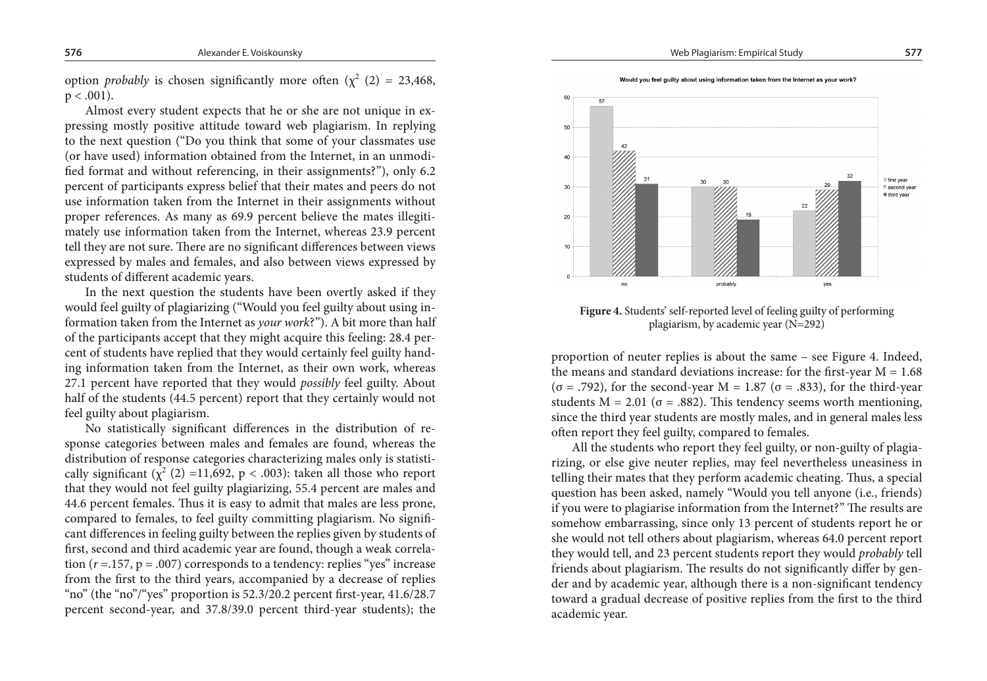option *probably* is chosen significantly more often  $(\chi^2)(2) = 23,468$ ,  $p < .001$ ).

Almost every student expects that he or she are not unique in expressing mostly positive attitude toward web plagiarism. In replying to the next question ("Do you think that some of your classmates use (or have used) information obtained from the Internet, in an unmodified format and without referencing, in their assignments?"), only 6.2 percent of participants express belief that their mates and peers do not use information taken from the Internet in their assignments without proper references. As many as 69.9 percent believe the mates illegitimately use information taken from the Internet, whereas 23.9 percent tell they are not sure. There are no significant differences between views expressed by males and females, and also between views expressed by students of different academic years.

In the next question the students have been overtly asked if they would feel guilty of plagiarizing ("Would you feel guilty about using information taken from the Internet as *your work*?"). A bit more than half of the participants accept that they might acquire this feeling: 28.4 percent of students have replied that they would certainly feel guilty handing information taken from the Internet, as their own work, whereas 27.1 percent have reported that they would *possibly* feel guilty. About half of the students (44.5 percent) report that they certainly would not feel guilty about plagiarism.

No statistically significant differences in the distribution of response categories between males and females are found, whereas the distribution of response categories characterizing males only is statistically significant ( $\chi^2$  (2) =11,692, p < .003): taken all those who report that they would not feel guilty plagiarizing, 55.4 percent are males and 44.6 percent females. Thus it is easy to admit that males are less prone, compared to females, to feel guilty committing plagiarism. No significant differences in feeling guilty between the replies given by students of first, second and third academic year are found, though a weak correlation  $(r = .157, p = .007)$  corresponds to a tendency: replies "yes" increase from the first to the third years, accompanied by a decrease of replies "no" (the "no"/"yes" proportion is 52.3/20.2 percent first-year, 41.6/28.7 percent second-year, and 37.8/39.0 percent third-year students); the

Would you feel quilty about using information taken from the Internet as your work?



**Figure 4.** Students' self-reported level of feeling guilty of performing plagiarism, by academic year (N=292)

proportion of neuter replies is about the same – see Figure 4. Indeed, the means and standard deviations increase: for the first-year  $M = 1.68$ ( $\sigma$  = .792), for the second-year M = 1.87 ( $\sigma$  = .833), for the third-year students  $M = 2.01$  ( $\sigma = .882$ ). This tendency seems worth mentioning, since the third year students are mostly males, and in general males less often report they feel guilty, compared to females.

All the students who report they feel guilty, or non-guilty of plagiarizing, or else give neuter replies, may feel nevertheless uneasiness in telling their mates that they perform academic cheating. Thus, a special question has been asked, namely "Would you tell anyone (i.e., friends) if you were to plagiarise information from the Internet?" The results are somehow embarrassing, since only 13 percent of students report he or she would not tell others about plagiarism, whereas 64.0 percent report they would tell, and 23 percent students report they would *probably* tell friends about plagiarism. The results do not significantly differ by gender and by academic year, although there is a non-significant tendency toward a gradual decrease of positive replies from the first to the third academic year.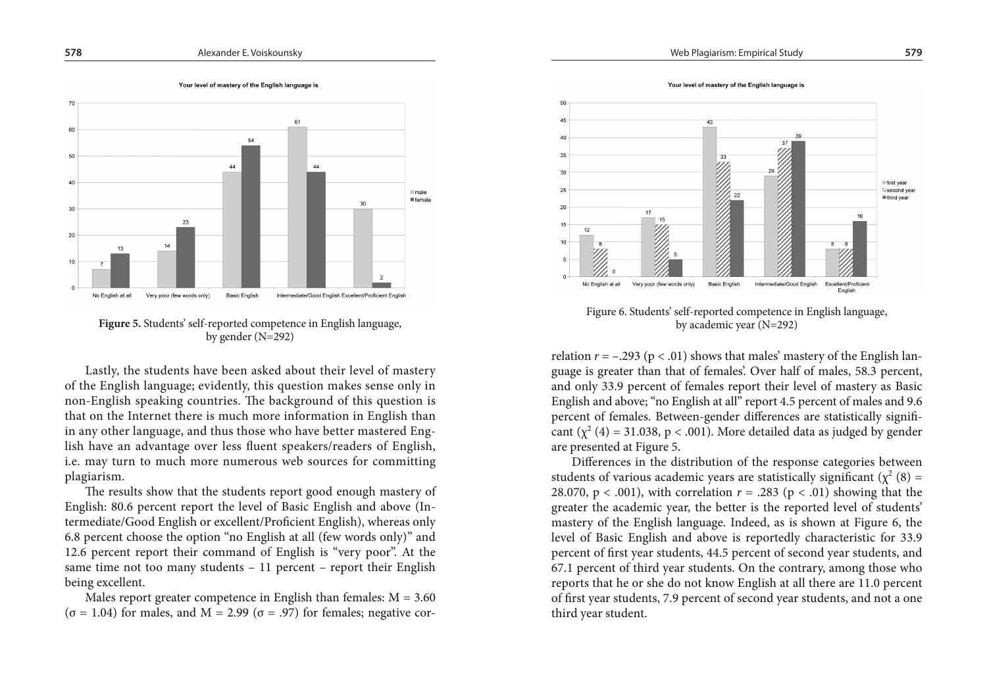





Lastly, the students have been asked about their level of mastery of the English language; evidently, this question makes sense only in non-English speaking countries. The background of this question is that on the Internet there is much more information in English than in any other language, and thus those who have better mastered English have an advantage over less fluent speakers/readers of English, i.e. may turn to much more numerous web sources for committing plagiarism.

The results show that the students report good enough mastery of English: 80.6 percent report the level of Basic English and above (Intermediate/Good English or excellent/Proficient English), whereas only 6.8 percent choose the option "no English at all (few words only)" and 12.6 percent report their command of English is "very poor". At the same time not too many students – 11 percent – report their English being excellent.

Males report greater competence in English than females:  $M = 3.60$ (σ = 1.04) for males, and M = 2.99 (σ = .97) for females; negative cor-



Figure 6. Students' self-reported competence in English language, by academic year (N=292)

relation  $r = -.293$  ( $p < .01$ ) shows that males' mastery of the English language is greater than that of females'. Over half of males, 58.3 percent, and only 33.9 percent of females report their level of mastery as Basic English and above; "no English at all" report 4.5 percent of males and 9.6 percent of females. Between-gender differences are statistically significant ( $\chi^2$  (4) = 31.038, p < .001). More detailed data as judged by gender are presented at Figure 5.

Differences in the distribution of the response categories between students of various academic years are statistically significant ( $\chi^2$  (8) = 28.070,  $p < .001$ ), with correlation  $r = .283$  ( $p < .01$ ) showing that the greater the academic year, the better is the reported level of students' mastery of the English language. Indeed, as is shown at Figure 6, the level of Basic English and above is reportedly characteristic for 33.9 percent of first year students, 44.5 percent of second year students, and 67.1 percent of third year students. On the contrary, among those who reports that he or she do not know English at all there are 11.0 percent of first year students, 7.9 percent of second year students, and not a one third year student.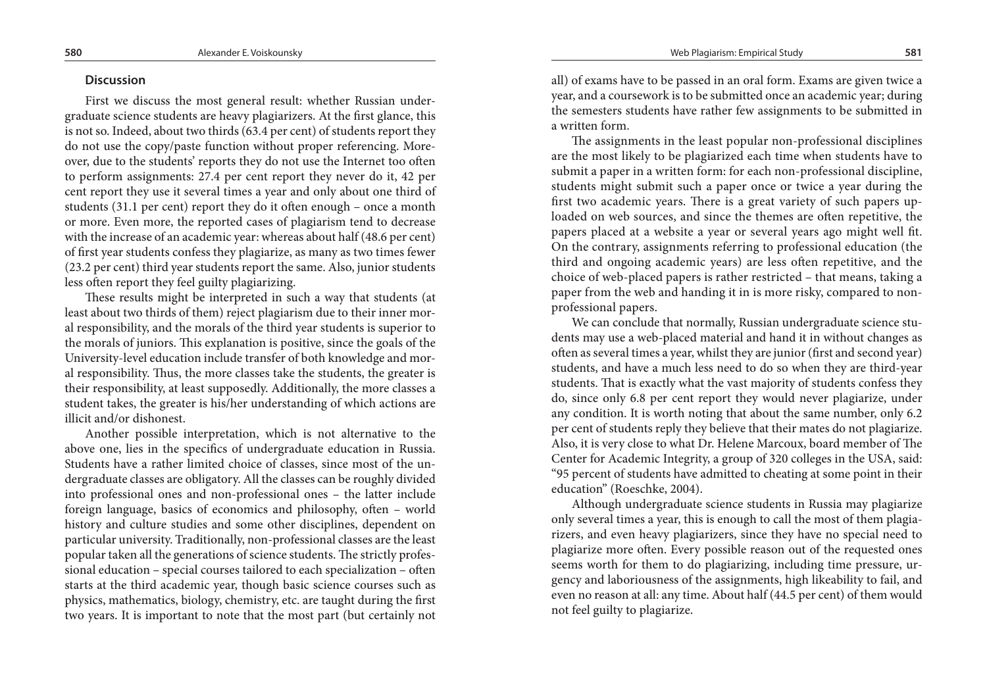#### **Discussion**

First we discuss the most general result: whether Russian undergraduate science students are heavy plagiarizers. At the first glance, this is not so. Indeed, about two thirds (63.4 per cent) of students report they do not use the copy/paste function without proper referencing. Moreover, due to the students' reports they do not use the Internet too often to perform assignments: 27.4 per cent report they never do it, 42 per cent report they use it several times a year and only about one third of students (31.1 per cent) report they do it often enough – once a month or more. Even more, the reported cases of plagiarism tend to decrease with the increase of an academic year: whereas about half (48.6 per cent) of first year students confess they plagiarize, as many as two times fewer (23.2 per cent) third year students report the same. Also, junior students less often report they feel guilty plagiarizing.

These results might be interpreted in such a way that students (at least about two thirds of them) reject plagiarism due to their inner moral responsibility, and the morals of the third year students is superior to the morals of juniors. This explanation is positive, since the goals of the University-level education include transfer of both knowledge and moral responsibility. Thus, the more classes take the students, the greater is their responsibility, at least supposedly. Additionally, the more classes a student takes, the greater is his/her understanding of which actions are illicit and/or dishonest.

Another possible interpretation, which is not alternative to the above one, lies in the specifics of undergraduate education in Russia. Students have a rather limited choice of classes, since most of the undergraduate classes are obligatory. All the classes can be roughly divided into professional ones and non-professional ones – the latter include foreign language, basics of economics and philosophy, often – world history and culture studies and some other disciplines, dependent on particular university. Traditionally, non-professional classes are the least popular taken all the generations of science students. The strictly professional education – special courses tailored to each specialization – often starts at the third academic year, though basic science courses such as physics, mathematics, biology, chemistry, etc. are taught during the first two years. It is important to note that the most part (but certainly not all) of exams have to be passed in an oral form. Exams are given twice a year, and a coursework is to be submitted once an academic year; during the semesters students have rather few assignments to be submitted in a written form.

The assignments in the least popular non-professional disciplines are the most likely to be plagiarized each time when students have to submit a paper in a written form: for each non-professional discipline, students might submit such a paper once or twice a year during the first two academic years. There is a great variety of such papers uploaded on web sources, and since the themes are often repetitive, the papers placed at a website a year or several years ago might well fit. On the contrary, assignments referring to professional education (the third and ongoing academic years) are less often repetitive, and the choice of web-placed papers is rather restricted – that means, taking a paper from the web and handing it in is more risky, compared to nonprofessional papers.

We can conclude that normally, Russian undergraduate science students may use a web-placed material and hand it in without changes as often as several times a year, whilst they are junior (first and second year) students, and have a much less need to do so when they are third-year students. That is exactly what the vast majority of students confess they do, since only 6.8 per cent report they would never plagiarize, under any condition. It is worth noting that about the same number, only 6.2 per cent of students reply they believe that their mates do not plagiarize. Also, it is very close to what Dr. Helene Marcoux, board member of The Center for Academic Integrity, a group of 320 colleges in the USA, said: "95 percent of students have admitted to cheating at some point in their education" (Roeschke, 2004).

Although undergraduate science students in Russia may plagiarize only several times a year, this is enough to call the most of them plagiarizers, and even heavy plagiarizers, since they have no special need to plagiarize more often. Every possible reason out of the requested ones seems worth for them to do plagiarizing, including time pressure, urgency and laboriousness of the assignments, high likeability to fail, and even no reason at all: any time. About half (44.5 per cent) of them would not feel guilty to plagiarize.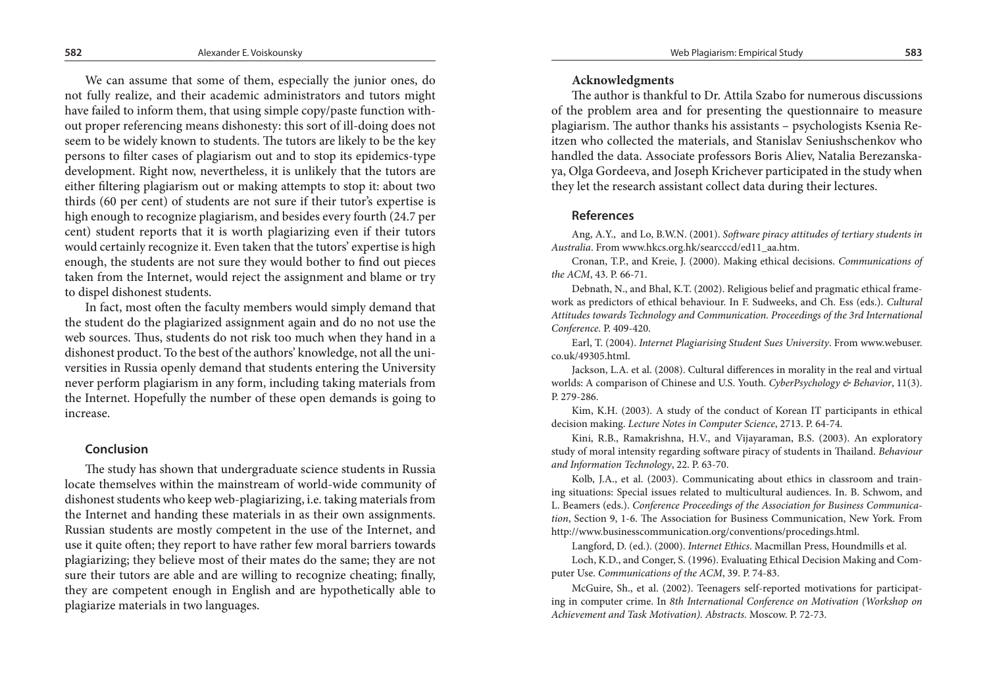We can assume that some of them, especially the junior ones, do not fully realize, and their academic administrators and tutors might have failed to inform them, that using simple copy/paste function without proper referencing means dishonesty: this sort of ill-doing does not seem to be widely known to students. The tutors are likely to be the key persons to filter cases of plagiarism out and to stop its epidemics-type development. Right now, nevertheless, it is unlikely that the tutors are either filtering plagiarism out or making attempts to stop it: about two thirds (60 per cent) of students are not sure if their tutor's expertise is high enough to recognize plagiarism, and besides every fourth (24.7 per cent) student reports that it is worth plagiarizing even if their tutors would certainly recognize it. Even taken that the tutors' expertise is high enough, the students are not sure they would bother to find out pieces taken from the Internet, would reject the assignment and blame or try to dispel dishonest students.

In fact, most often the faculty members would simply demand that the student do the plagiarized assignment again and do no not use the web sources. Thus, students do not risk too much when they hand in a dishonest product. To the best of the authors' knowledge, not all the universities in Russia openly demand that students entering the University never perform plagiarism in any form, including taking materials from the Internet. Hopefully the number of these open demands is going to increase.

#### **Conclusion**

The study has shown that undergraduate science students in Russia locate themselves within the mainstream of world-wide community of dishonest students who keep web-plagiarizing, i.e. taking materials from the Internet and handing these materials in as their own assignments. Russian students are mostly competent in the use of the Internet, and use it quite often; they report to have rather few moral barriers towards plagiarizing; they believe most of their mates do the same; they are not sure their tutors are able and are willing to recognize cheating; finally, they are competent enough in English and are hypothetically able to plagiarize materials in two languages.

#### **Acknowledgments**

The author is thankful to Dr. Attila Szabo for numerous discussions of the problem area and for presenting the questionnaire to measure plagiarism. The author thanks his assistants – psychologists Ksenia Reitzen who collected the materials, and Stanislav Seniushschenkov who handled the data. Associate professors Boris Aliev, Natalia Berezanskaya, Olga Gordeeva, and Joseph Krichever participated in the study when they let the research assistant collect data during their lectures.

## **References**

Ang, A.Y., and Lo, B.W.N. (2001). *Software piracy attitudes of tertiary students in Australia*. From www.hkcs.org.hk/searcccd/ed11\_aa.htm.

Cronan, T.P., and Kreie, J. (2000). Making ethical decisions. *Communications of the ACM*, 43. P. 66-71.

Debnath, N., and Bhal, K.T. (2002). Religious belief and pragmatic ethical framework as predictors of ethical behaviour. In F. Sudweeks, and Ch. Ess (eds.). *Cultural Attitudes towards Technology and Communication. Proceedings of the 3rd International Conference.* P. 409-420.

Earl, T. (2004). *Internet Plagiarising Student Sues University*. From www.webuser. co.uk/49305.html.

Jackson, L.A. et al. (2008). Cultural differences in morality in the real and virtual worlds: A comparison of Chinese and U.S. Youth. *CyberPsychology & Behavior*, 11(3). P. 279-286.

Kim, K.H. (2003). A study of the conduct of Korean IT participants in ethical decision making. *Lecture Notes in Computer Science*, 2713. P. 64-74.

Kini, R.B., Ramakrishna, H.V., and Vijayaraman, B.S. (2003). An exploratory study of moral intensity regarding software piracy of students in Thailand. *Behaviour and Information Technology*, 22. P. 63-70.

Kolb, J.A., et al. (2003). Communicating about ethics in classroom and training situations: Special issues related to multicultural audiences. In. B. Schwom, and L. Beamers (eds.). *Conference Proceedings of the Association for Business Communication*, Section 9, 1-6. The Association for Business Communication, New York. From http://www.businesscommunication.org/conventions/procedings.html.

Langford, D. (ed.). (2000). *Internet Ethics*. Macmillan Press, Houndmills et al.

Loch, K.D., and Conger, S. (1996). Evaluating Ethical Decision Making and Computer Use. *Communications of the ACM*, 39. P. 74-83.

McGuire, Sh., et al. (2002). Teenagers self-reported motivations for participating in computer crime. In *8th International Conference on Motivation (Workshop on Achievement and Task Motivation). Abstracts.* Moscow. P. 72-73.